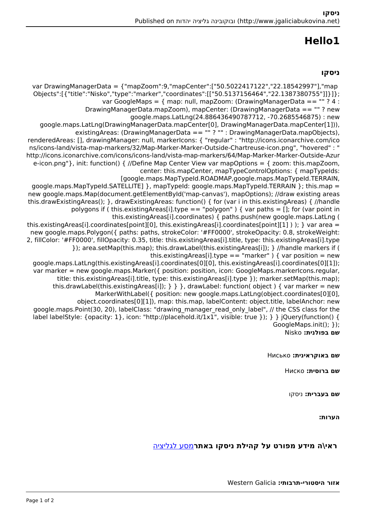# **1Hello**

### **ניסקו**

var DrawingManagerData = {"mapZoom":9,"mapCenter":["50.5022417122","22.18542997"],"map ({|"title":"Nisko","type":"marker","coordinates":[["50.5137156464","22.1387380755"]]}}} var GoogleMaps =  $\{$  map: null, mapZoom: (DrawingManagerData == "" ? 4 : DrawingManagerData.mapZoom), mapCenter: (DrawingManagerData == ""? new google.maps.LatLng(24.886436490787712, -70.2685546875) : new google.maps.LatLng(DrawingManagerData.mapCenter[0], DrawingManagerData.mapCenter[1])),  $existing Areas: (Drawing ManagementData == " " ? " : Drawing Management)$ renderedAreas: [], drawingManager: null, markerIcons: { "regular" : "http://icons.iconarchive.com/ico ns/icons-land/vista-map-markers/32/Map-Marker-Marker-Outside-Chartreuse-icon.png", "hovered" : " http://icons.iconarchive.com/icons/icons-land/vista-map-markers/64/Map-Marker-Marker-Outside-Azur e-icon.png"}, init: function() { //Define Map Center View var mapOptions = { zoom: this mapZoom, center: this mapCenter, mapTypeControlOptions: { mapTypeIds: [google.maps.MapTypeId.ROADMAP,google.maps.MapTypeId.TERRAIN, google.maps.MapTypeId.SATELLITE1 }, mapTypeId: google.maps.MapTypeId.TERRAIN }: this.map = new google.maps.Map(document.getElementById('map-canvas'), mapOptions); //draw existing areas this drawExistingAreas $()$ ; }, drawExistingAreas: function $()$  { for (var i in this existingAreas) { //handle polygons if (this existing Areas [i] type = = "polygon" ) { var paths = []; for (var point in this.existingAreas[i].coordinates) { paths.push(new google.maps.LatLng ( this existing Areas [i] coordinates [point][0], this existing Areas [i] coordinates [point][1] ) ); } var area = new google maps Polygon({ paths: paths, strokeColor: '#FF0000', strokeOpacity: 0.8, strokeWeight: 2, fillColor: '#FF0000', fillOpacity: 0.35, title: this existingAreas[i] title, type: this existingAreas[i] type }); area.setMap(this.map); this.drawLabel(this.existingAreas[i]); } //handle markers if ( this.existingAreas[i].type == "marker" ) { var position = new qoogle.maps.LatLng(this.existingAreas[i].coordinates[0][0], this.existingAreas[i].coordinates[0][1]); var marker = new google.maps.Marker( $\{$  position: position, icon: GoogleMaps.markerlcons.regular, title: this.existingAreas[i].title, type: this.existingAreas[i].type }); marker.setMap(this.map): this.drawLabel(this.existingAreas[i]);  $\}$  } }, drawLabel: function( object ) { var marker = new MarkerWithLabel({ position: new google.maps.LatLng(object.coordinates[0][0], object.coordinates[0][1]), map: this.map, labelContent: object.title, labelAnchor: new google maps. Point (30, 20), label Class: "drawing manager read only label", // the CSS class for the label labelStyle: {opacity: 1}, icon: "http://placehold.it/1x1", visible: true }); } } jQuery(function() {  $GoogleMaps.int(); \}$ ); **שם בפולנית:** Nisko

#### **שם באוקראינית:** Нисько

**שם ברוסית:** Ниско

**שם בעברית:** ניסקו

**הערות:** 

## **ראי\ה מידע מפורט על קהילת ניסקו באתר**[מסע לגליציה](https://yadzehava.wixsite.com/galicia3/nisko)

#### **אזור היסטורי-תרבותי:** Galicia Western